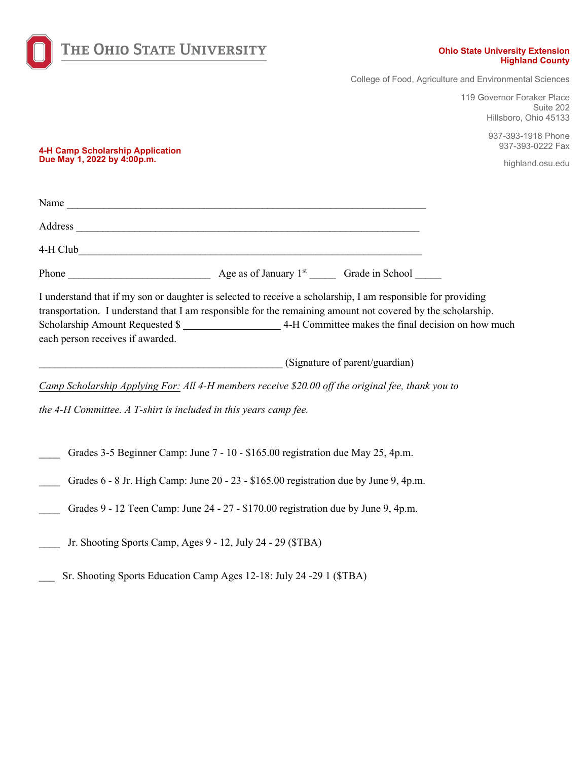

## **Ohio State University Extension Highland County**

College of Food, Agriculture and Environmental Sciences

119 Governor Foraker Place Suite 202 Hillsboro, Ohio 45133

> 937-393-1918 Phone 937-393-0222 Fax

> > highland.osu.edu

**4-H Camp Scholarship Application Due May 1, 2022 by 4:00p.m.** 

| Name     |  |
|----------|--|
| Address  |  |
| 4-H Club |  |

| Phone | .<br>Age as of January | Grade in School |
|-------|------------------------|-----------------|
|-------|------------------------|-----------------|

I understand that if my son or daughter is selected to receive a scholarship, I am responsible for providing transportation. I understand that I am responsible for the remaining amount not covered by the scholarship. Scholarship Amount Requested \$ each person receives if awarded.

\_\_\_\_\_\_\_\_\_\_\_\_\_\_\_\_\_\_\_\_\_\_\_\_\_\_\_\_\_\_\_\_\_\_\_\_\_\_\_\_\_\_\_\_\_\_ (Signature of parent/guardian)

*Camp Scholarship Applying For: All 4-H members receive \$20.00 off the original fee, thank you to* 

*the 4-H Committee. A T-shirt is included in this years camp fee.* 

- Grades 3-5 Beginner Camp: June 7 10 \$165.00 registration due May 25, 4p.m.
- Grades 6 8 Jr. High Camp: June 20 23 \$165.00 registration due by June 9, 4p.m.
- Grades 9 12 Teen Camp: June 24 27 \$170.00 registration due by June 9, 4p.m.
- Jr. Shooting Sports Camp, Ages 9 12, July 24 29 (\$TBA)
- Sr. Shooting Sports Education Camp Ages 12-18: July 24 -29 1 (\$TBA)